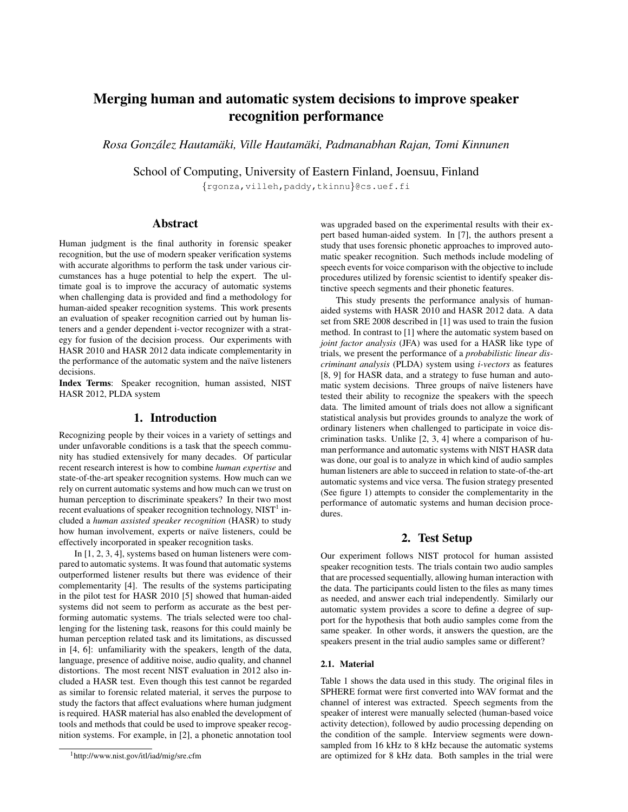# Merging human and automatic system decisions to improve speaker recognition performance

*Rosa Gonzalez Hautam ´ aki, Ville Hautam ¨ aki, Padmanabhan Rajan, Tomi Kinnunen ¨*

School of Computing, University of Eastern Finland, Joensuu, Finland

{rgonza,villeh,paddy,tkinnu}@cs.uef.fi

# Abstract

Human judgment is the final authority in forensic speaker recognition, but the use of modern speaker verification systems with accurate algorithms to perform the task under various circumstances has a huge potential to help the expert. The ultimate goal is to improve the accuracy of automatic systems when challenging data is provided and find a methodology for human-aided speaker recognition systems. This work presents an evaluation of speaker recognition carried out by human listeners and a gender dependent i-vector recognizer with a strategy for fusion of the decision process. Our experiments with HASR 2010 and HASR 2012 data indicate complementarity in the performance of the automatic system and the naïve listeners decisions.

Index Terms: Speaker recognition, human assisted, NIST HASR 2012, PLDA system

# 1. Introduction

Recognizing people by their voices in a variety of settings and under unfavorable conditions is a task that the speech community has studied extensively for many decades. Of particular recent research interest is how to combine *human expertise* and state-of-the-art speaker recognition systems. How much can we rely on current automatic systems and how much can we trust on human perception to discriminate speakers? In their two most recent evaluations of speaker recognition technology, NIST $^1$  included a *human assisted speaker recognition* (HASR) to study how human involvement, experts or naïve listeners, could be effectively incorporated in speaker recognition tasks.

In [1, 2, 3, 4], systems based on human listeners were compared to automatic systems. It was found that automatic systems outperformed listener results but there was evidence of their complementarity [4]. The results of the systems participating in the pilot test for HASR 2010 [5] showed that human-aided systems did not seem to perform as accurate as the best performing automatic systems. The trials selected were too challenging for the listening task, reasons for this could mainly be human perception related task and its limitations, as discussed in [4, 6]: unfamiliarity with the speakers, length of the data, language, presence of additive noise, audio quality, and channel distortions. The most recent NIST evaluation in 2012 also included a HASR test. Even though this test cannot be regarded as similar to forensic related material, it serves the purpose to study the factors that affect evaluations where human judgment is required. HASR material has also enabled the development of tools and methods that could be used to improve speaker recognition systems. For example, in [2], a phonetic annotation tool was upgraded based on the experimental results with their expert based human-aided system. In [7], the authors present a study that uses forensic phonetic approaches to improved automatic speaker recognition. Such methods include modeling of speech events for voice comparison with the objective to include procedures utilized by forensic scientist to identify speaker distinctive speech segments and their phonetic features.

This study presents the performance analysis of humanaided systems with HASR 2010 and HASR 2012 data. A data set from SRE 2008 described in [1] was used to train the fusion method. In contrast to [1] where the automatic system based on *joint factor analysis* (JFA) was used for a HASR like type of trials, we present the performance of a *probabilistic linear discriminant analysis* (PLDA) system using *i-vectors* as features [8, 9] for HASR data, and a strategy to fuse human and automatic system decisions. Three groups of naïve listeners have tested their ability to recognize the speakers with the speech data. The limited amount of trials does not allow a significant statistical analysis but provides grounds to analyze the work of ordinary listeners when challenged to participate in voice discrimination tasks. Unlike [2, 3, 4] where a comparison of human performance and automatic systems with NIST HASR data was done, our goal is to analyze in which kind of audio samples human listeners are able to succeed in relation to state-of-the-art automatic systems and vice versa. The fusion strategy presented (See figure 1) attempts to consider the complementarity in the performance of automatic systems and human decision procedures.

# 2. Test Setup

Our experiment follows NIST protocol for human assisted speaker recognition tests. The trials contain two audio samples that are processed sequentially, allowing human interaction with the data. The participants could listen to the files as many times as needed, and answer each trial independently. Similarly our automatic system provides a score to define a degree of support for the hypothesis that both audio samples come from the same speaker. In other words, it answers the question, are the speakers present in the trial audio samples same or different?

#### 2.1. Material

Table 1 shows the data used in this study. The original files in SPHERE format were first converted into WAV format and the channel of interest was extracted. Speech segments from the speaker of interest were manually selected (human-based voice activity detection), followed by audio processing depending on the condition of the sample. Interview segments were downsampled from 16 kHz to 8 kHz because the automatic systems are optimized for 8 kHz data. Both samples in the trial were

<sup>&</sup>lt;sup>1</sup>http://www.nist.gov/itl/iad/mig/sre.cfm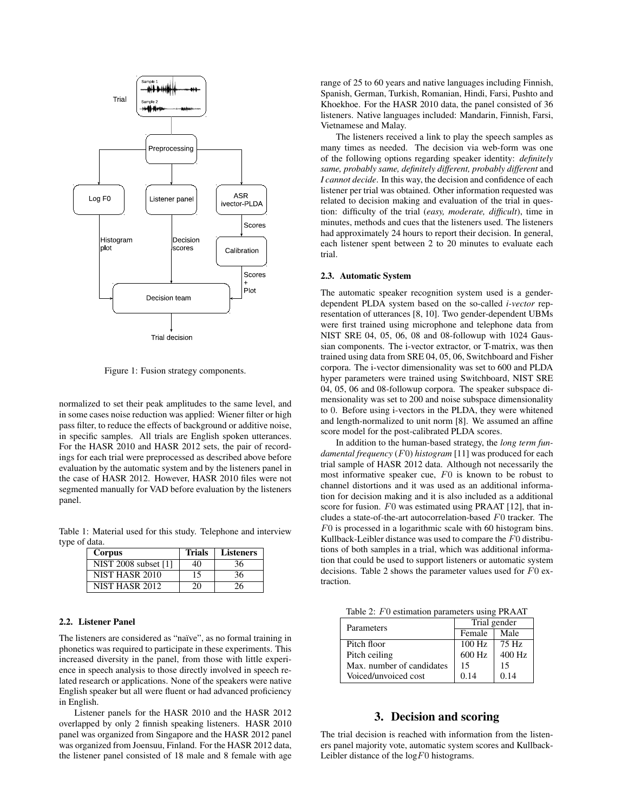

Figure 1: Fusion strategy components.

normalized to set their peak amplitudes to the same level, and in some cases noise reduction was applied: Wiener filter or high pass filter, to reduce the effects of background or additive noise, in specific samples. All trials are English spoken utterances. For the HASR 2010 and HASR 2012 sets, the pair of recordings for each trial were preprocessed as described above before evaluation by the automatic system and by the listeners panel in the case of HASR 2012. However, HASR 2010 files were not segmented manually for VAD before evaluation by the listeners panel.

Table 1: Material used for this study. Telephone and interview type of data.

| Corpus               | <b>Trials</b> | <b>Listeners</b> |
|----------------------|---------------|------------------|
| NIST 2008 subset [1] | 40            | 36               |
| NIST HASR 2010       | 15            | 36               |
| NIST HASR 2012       | 20            | 26               |

#### 2.2. Listener Panel

The listeners are considered as "naïve", as no formal training in phonetics was required to participate in these experiments. This increased diversity in the panel, from those with little experience in speech analysis to those directly involved in speech related research or applications. None of the speakers were native English speaker but all were fluent or had advanced proficiency in English.

Listener panels for the HASR 2010 and the HASR 2012 overlapped by only 2 finnish speaking listeners. HASR 2010 panel was organized from Singapore and the HASR 2012 panel was organized from Joensuu, Finland. For the HASR 2012 data, the listener panel consisted of 18 male and 8 female with age range of 25 to 60 years and native languages including Finnish, Spanish, German, Turkish, Romanian, Hindi, Farsi, Pushto and Khoekhoe. For the HASR 2010 data, the panel consisted of 36 listeners. Native languages included: Mandarin, Finnish, Farsi, Vietnamese and Malay.

The listeners received a link to play the speech samples as many times as needed. The decision via web-form was one of the following options regarding speaker identity: *definitely same, probably same, definitely different, probably different* and *I cannot decide*. In this way, the decision and confidence of each listener per trial was obtained. Other information requested was related to decision making and evaluation of the trial in question: difficulty of the trial (*easy, moderate, difficult*), time in minutes, methods and cues that the listeners used. The listeners had approximately 24 hours to report their decision. In general, each listener spent between 2 to 20 minutes to evaluate each trial.

#### 2.3. Automatic System

The automatic speaker recognition system used is a genderdependent PLDA system based on the so-called *i-vector* representation of utterances [8, 10]. Two gender-dependent UBMs were first trained using microphone and telephone data from NIST SRE 04, 05, 06, 08 and 08-followup with 1024 Gaussian components. The i-vector extractor, or T-matrix, was then trained using data from SRE 04, 05, 06, Switchboard and Fisher corpora. The i-vector dimensionality was set to 600 and PLDA hyper parameters were trained using Switchboard, NIST SRE 04, 05, 06 and 08-followup corpora. The speaker subspace dimensionality was set to 200 and noise subspace dimensionality to 0. Before using i-vectors in the PLDA, they were whitened and length-normalized to unit norm [8]. We assumed an affine score model for the post-calibrated PLDA scores.

In addition to the human-based strategy, the *long term fundamental frequency* (F0) *histogram* [11] was produced for each trial sample of HASR 2012 data. Although not necessarily the most informative speaker cue, F0 is known to be robust to channel distortions and it was used as an additional information for decision making and it is also included as a additional score for fusion. F0 was estimated using PRAAT [12], that includes a state-of-the-art autocorrelation-based F0 tracker. The F0 is processed in a logarithmic scale with 60 histogram bins. Kullback-Leibler distance was used to compare the F0 distributions of both samples in a trial, which was additional information that could be used to support listeners or automatic system decisions. Table 2 shows the parameter values used for  $F0$  extraction.

Table 2: F0 estimation parameters using PRAAT

| Parameters                | Trial gender |         |  |  |  |  |  |
|---------------------------|--------------|---------|--|--|--|--|--|
|                           | Female       | Male    |  |  |  |  |  |
| Pitch floor               | $100$ Hz     | $75$ Hz |  |  |  |  |  |
| Pitch ceiling             | 600 Hz       | 400 Hz  |  |  |  |  |  |
| Max. number of candidates | 15           | 15      |  |  |  |  |  |
| Voiced/unvoiced cost      | 0.14         | 0.14    |  |  |  |  |  |

### 3. Decision and scoring

The trial decision is reached with information from the listeners panel majority vote, automatic system scores and Kullback-Leibler distance of the  $log F0$  histograms.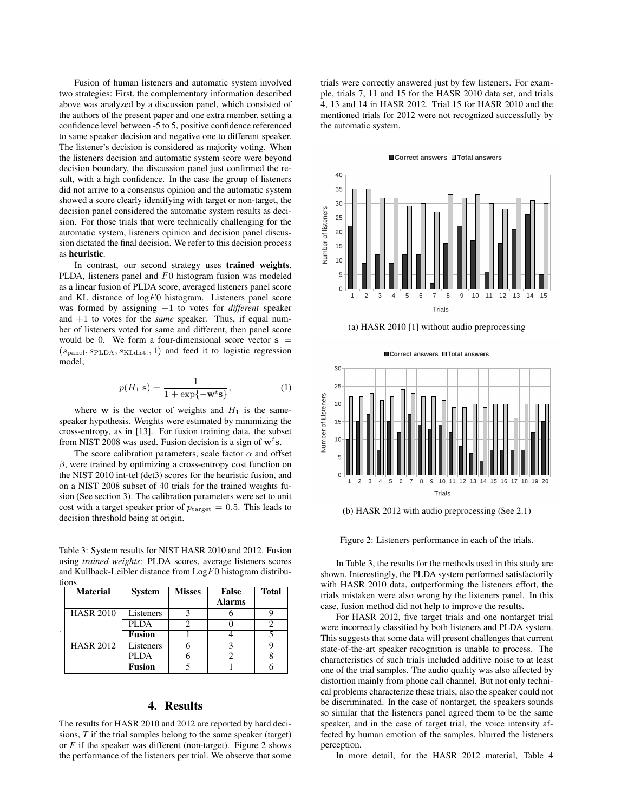Fusion of human listeners and automatic system involved two strategies: First, the complementary information described above was analyzed by a discussion panel, which consisted of the authors of the present paper and one extra member, setting a confidence level between -5 to 5, positive confidence referenced to same speaker decision and negative one to different speaker. The listener's decision is considered as majority voting. When the listeners decision and automatic system score were beyond decision boundary, the discussion panel just confirmed the result, with a high confidence. In the case the group of listeners did not arrive to a consensus opinion and the automatic system showed a score clearly identifying with target or non-target, the decision panel considered the automatic system results as decision. For those trials that were technically challenging for the automatic system, listeners opinion and decision panel discussion dictated the final decision. We refer to this decision process as heuristic.

In contrast, our second strategy uses trained weights. PLDA, listeners panel and F0 histogram fusion was modeled as a linear fusion of PLDA score, averaged listeners panel score and KL distance of  $log F0$  histogram. Listeners panel score was formed by assigning −1 to votes for *different* speaker and +1 to votes for the *same* speaker. Thus, if equal number of listeners voted for same and different, then panel score would be 0. We form a four-dimensional score vector  $s =$  $(s_{\text{panel}}, s_{\text{PLDA}}, s_{\text{KLdist}}, 1)$  and feed it to logistic regression model,

$$
p(H_1|\mathbf{s}) = \frac{1}{1 + \exp\{-\mathbf{w}^t \mathbf{s}\}},\tag{1}
$$

where w is the vector of weights and  $H_1$  is the samespeaker hypothesis. Weights were estimated by minimizing the cross-entropy, as in [13]. For fusion training data, the subset from NIST 2008 was used. Fusion decision is a sign of  $\mathbf{w}^t$ s.

The score calibration parameters, scale factor  $\alpha$  and offset  $\beta$ , were trained by optimizing a cross-entropy cost function on the NIST 2010 int-tel (det3) scores for the heuristic fusion, and on a NIST 2008 subset of 40 trials for the trained weights fusion (See section 3). The calibration parameters were set to unit cost with a target speaker prior of  $p_{\text{target}} = 0.5$ . This leads to decision threshold being at origin.

Table 3: System results for NIST HASR 2010 and 2012. Fusion using *trained weights*: PLDA scores, average listeners scores and Kullback-Leibler distance from  $\text{Log} F0$  histogram distributions

|   | <b>Material</b>  | <b>System</b> | <b>Misses</b> | <b>False</b>  | <b>Total</b> |
|---|------------------|---------------|---------------|---------------|--------------|
|   |                  |               |               | <b>Alarms</b> |              |
|   | <b>HASR 2010</b> | Listeners     |               |               |              |
|   |                  | PLDA          |               |               |              |
| ٠ |                  | <b>Fusion</b> |               |               |              |
|   | <b>HASR 2012</b> | Listeners     |               |               |              |
|   |                  | PLDA          |               |               |              |
|   |                  | <b>Fusion</b> |               |               |              |

# 4. Results

The results for HASR 2010 and 2012 are reported by hard decisions, *T* if the trial samples belong to the same speaker (target) or *F* if the speaker was different (non-target). Figure 2 shows the performance of the listeners per trial. We observe that some trials were correctly answered just by few listeners. For example, trials 7, 11 and 15 for the HASR 2010 data set, and trials 4, 13 and 14 in HASR 2012. Trial 15 for HASR 2010 and the mentioned trials for 2012 were not recognized successfully by the automatic system.

#### ■ Correct answers □ Total answers



(a) HASR 2010 [1] without audio preprocessing





(b) HASR 2012 with audio preprocessing (See 2.1)

Figure 2: Listeners performance in each of the trials.

In Table 3, the results for the methods used in this study are shown. Interestingly, the PLDA system performed satisfactorily with HASR 2010 data, outperforming the listeners effort, the trials mistaken were also wrong by the listeners panel. In this case, fusion method did not help to improve the results.

For HASR 2012, five target trials and one nontarget trial were incorrectly classified by both listeners and PLDA system. This suggests that some data will present challenges that current state-of-the-art speaker recognition is unable to process. The characteristics of such trials included additive noise to at least one of the trial samples. The audio quality was also affected by distortion mainly from phone call channel. But not only technical problems characterize these trials, also the speaker could not be discriminated. In the case of nontarget, the speakers sounds so similar that the listeners panel agreed them to be the same speaker, and in the case of target trial, the voice intensity affected by human emotion of the samples, blurred the listeners perception.

In more detail, for the HASR 2012 material, Table 4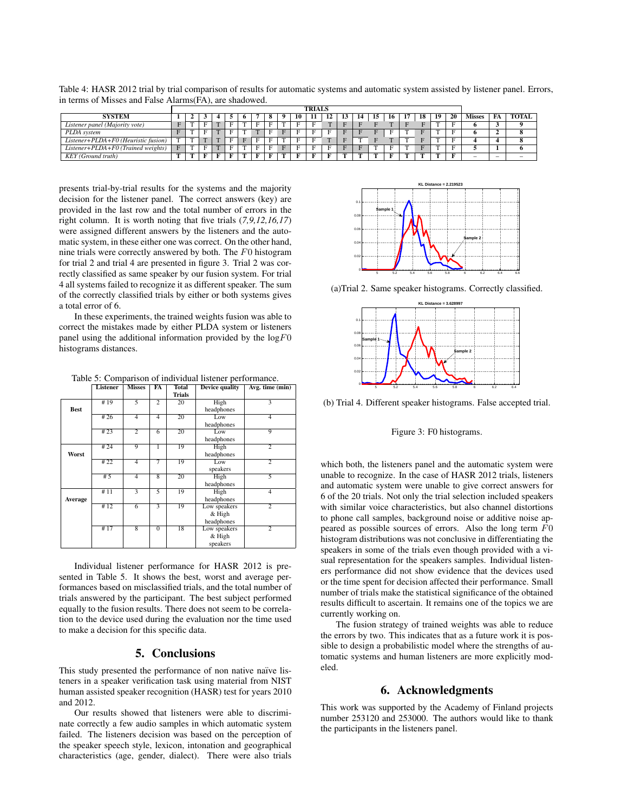Table 4: HASR 2012 trial by trial comparison of results for automatic systems and automatic system assisted by listener panel. Errors, in terms of Misses and False Alarms(FA), are shadowed.

|                                      |   | <b>TRIALS</b> |   |                  |    |   |                |              |              |    |    |             |    |    |    |    |    |    |               |          |              |
|--------------------------------------|---|---------------|---|------------------|----|---|----------------|--------------|--------------|----|----|-------------|----|----|----|----|----|----|---------------|----------|--------------|
| <b>SYSTEM</b>                        |   |               |   |                  |    | 6 |                | $\mathbf{o}$ | $\Omega$     | 10 | 11 | 12          | 14 | 16 | 17 | 18 | 19 | 20 | <b>Misses</b> | FA       | <b>TOTAL</b> |
| Listener panel (Majority vote)       |   |               |   |                  |    |   |                | ы.           |              |    |    |             |    |    |    |    |    |    |               | <u>.</u> |              |
| PLDA system                          |   |               | Е | <b>CONTINUES</b> | E. | m | $\overline{ }$ |              | $\mathbf{v}$ |    |    |             |    |    | m  |    |    |    |               |          |              |
| Listener+PLDA+F0 (Heuristic fusion)  | - |               |   |                  |    |   |                |              |              |    |    | <b>CONT</b> |    |    |    |    |    |    |               |          |              |
| $Listener+PLDA+FO$ (Trained weights) |   |               |   |                  |    |   |                |              |              |    |    |             |    |    |    |    |    |    |               |          |              |
| KEY (Ground truth)                   |   |               |   |                  |    |   |                |              |              |    |    |             |    |    |    |    |    |    |               | $\sim$   | -            |

presents trial-by-trial results for the systems and the majority decision for the listener panel. The correct answers (key) are provided in the last row and the total number of errors in the right column. It is worth noting that five trials (*7,9,12,16,17*) were assigned different answers by the listeners and the automatic system, in these either one was correct. On the other hand, nine trials were correctly answered by both. The F0 histogram for trial 2 and trial 4 are presented in figure 3. Trial 2 was correctly classified as same speaker by our fusion system. For trial 4 all systems failed to recognize it as different speaker. The sum of the correctly classified trials by either or both systems gives a total error of 6.

In these experiments, the trained weights fusion was able to correct the mistakes made by either PLDA system or listeners panel using the additional information provided by the  $logF0$ histograms distances.

Table 5: Comparison of individual listener performance.

|             | <b>Listener</b> | <b>Misses</b>  | FA             | <b>Total</b> | <b>Device quality</b> | Avg. time (min) |
|-------------|-----------------|----------------|----------------|--------------|-----------------------|-----------------|
|             |                 |                |                | Trials       |                       |                 |
|             | #19             | 5              | $\overline{2}$ | 20           | High                  | 3               |
| <b>Best</b> |                 |                |                |              | headphones            |                 |
|             | #26             | $\overline{4}$ | $\overline{4}$ | 20           | Low                   | $\overline{4}$  |
|             |                 |                |                |              | headphones            |                 |
|             | #23             | $\overline{2}$ | $\overline{6}$ | 20           | Low                   | $\overline{Q}$  |
|             |                 |                |                |              | headphones            |                 |
|             | #24             | 9              | 1              | 19           | High                  | 2               |
| Worst       |                 |                |                |              | headphones            |                 |
|             | #22             | $\overline{4}$ | 7              | 19           | Low                   | $\overline{2}$  |
|             |                 |                |                |              | speakers              |                 |
|             | #5              | $\overline{4}$ | $\overline{8}$ | 20           | High                  | 5               |
|             |                 |                |                |              | headphones            |                 |
|             | #11             | 3              | 5              | 19           | High                  | $\overline{4}$  |
| Average     |                 |                |                |              | headphones            |                 |
|             | #12             | $\overline{6}$ |                | 19           | Low speakers          | $\overline{2}$  |
|             |                 |                |                |              | & High                |                 |
|             |                 |                |                |              | headphones            |                 |
|             | #17             | $\overline{8}$ | $\overline{0}$ | 18           | Low speakers          | $\overline{2}$  |
|             |                 |                |                |              | & High                |                 |
|             |                 |                |                |              | speakers              |                 |

Individual listener performance for HASR 2012 is presented in Table 5. It shows the best, worst and average performances based on misclassified trials, and the total number of trials answered by the participant. The best subject performed equally to the fusion results. There does not seem to be correlation to the device used during the evaluation nor the time used to make a decision for this specific data.

# 5. Conclusions

This study presented the performance of non native naïve listeners in a speaker verification task using material from NIST human assisted speaker recognition (HASR) test for years 2010 and 2012.

Our results showed that listeners were able to discriminate correctly a few audio samples in which automatic system failed. The listeners decision was based on the perception of the speaker speech style, lexicon, intonation and geographical characteristics (age, gender, dialect). There were also trials



(a)Trial 2. Same speaker histograms. Correctly classified.



(b) Trial 4. Different speaker histograms. False accepted trial.

Figure 3: F0 histograms.

which both, the listeners panel and the automatic system were unable to recognize. In the case of HASR 2012 trials, listeners and automatic system were unable to give correct answers for 6 of the 20 trials. Not only the trial selection included speakers with similar voice characteristics, but also channel distortions to phone call samples, background noise or additive noise appeared as possible sources of errors. Also the long term F0 histogram distributions was not conclusive in differentiating the speakers in some of the trials even though provided with a visual representation for the speakers samples. Individual listeners performance did not show evidence that the devices used or the time spent for decision affected their performance. Small number of trials make the statistical significance of the obtained results difficult to ascertain. It remains one of the topics we are currently working on.

The fusion strategy of trained weights was able to reduce the errors by two. This indicates that as a future work it is possible to design a probabilistic model where the strengths of automatic systems and human listeners are more explicitly modeled.

# 6. Acknowledgments

This work was supported by the Academy of Finland projects number 253120 and 253000. The authors would like to thank the participants in the listeners panel.